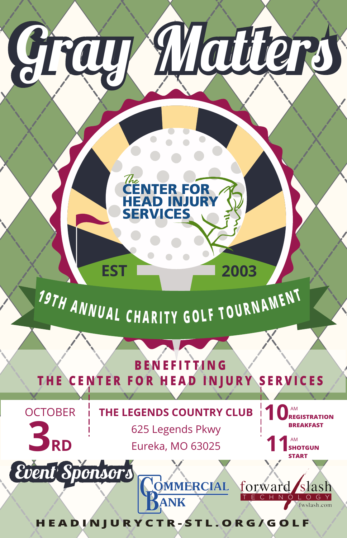